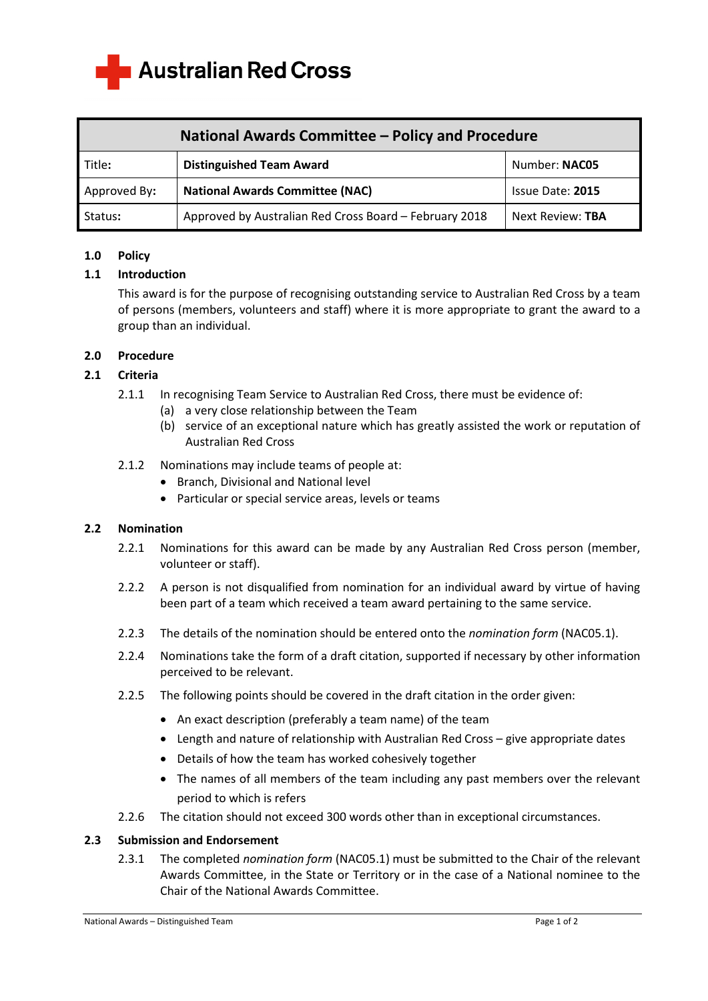

| National Awards Committee – Policy and Procedure |                                                        |                  |
|--------------------------------------------------|--------------------------------------------------------|------------------|
| Title:                                           | <b>Distinguished Team Award</b>                        | Number: NAC05    |
| Approved By:                                     | <b>National Awards Committee (NAC)</b>                 | Issue Date: 2015 |
| Status:                                          | Approved by Australian Red Cross Board - February 2018 | Next Review: TBA |

### **1.0 Policy**

### **1.1 Introduction**

This award is for the purpose of recognising outstanding service to Australian Red Cross by a team of persons (members, volunteers and staff) where it is more appropriate to grant the award to a group than an individual.

#### **2.0 Procedure**

#### **2.1 Criteria**

- 2.1.1 In recognising Team Service to Australian Red Cross, there must be evidence of:
	- (a) a very close relationship between the Team
		- (b) service of an exceptional nature which has greatly assisted the work or reputation of Australian Red Cross
- 2.1.2 Nominations may include teams of people at:
	- Branch, Divisional and National level
	- Particular or special service areas, levels or teams

### **2.2 Nomination**

- 2.2.1 Nominations for this award can be made by any Australian Red Cross person (member, volunteer or staff).
- 2.2.2 A person is not disqualified from nomination for an individual award by virtue of having been part of a team which received a team award pertaining to the same service.
- 2.2.3 The details of the nomination should be entered onto the *nomination form* (NAC05.1).
- 2.2.4 Nominations take the form of a draft citation, supported if necessary by other information perceived to be relevant.
- 2.2.5 The following points should be covered in the draft citation in the order given:
	- An exact description (preferably a team name) of the team
	- Length and nature of relationship with Australian Red Cross give appropriate dates
	- Details of how the team has worked cohesively together
	- The names of all members of the team including any past members over the relevant period to which is refers
- 2.2.6 The citation should not exceed 300 words other than in exceptional circumstances.

#### **2.3 Submission and Endorsement**

2.3.1 The completed *nomination form* (NAC05.1) must be submitted to the Chair of the relevant Awards Committee, in the State or Territory or in the case of a National nominee to the Chair of the National Awards Committee.